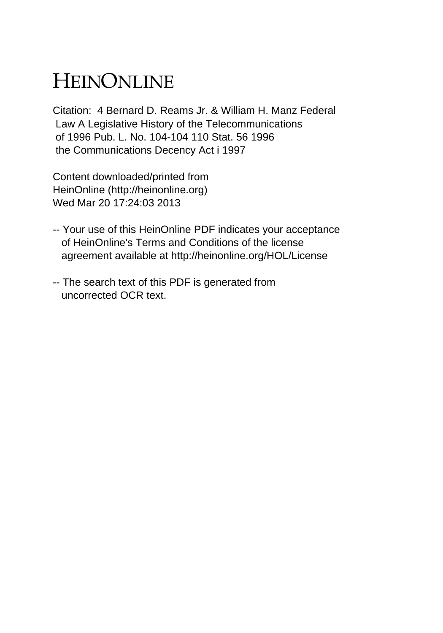## HEINONLINE

Citation: 4 Bernard D. Reams Jr. & William H. Manz Federal Law A Legislative History of the Telecommunications of 1996 Pub. L. No. 104-104 110 Stat. 56 1996 the Communications Decency Act i 1997

Content downloaded/printed from HeinOnline (http://heinonline.org) Wed Mar 20 17:24:03 2013

- -- Your use of this HeinOnline PDF indicates your acceptance of HeinOnline's Terms and Conditions of the license agreement available at http://heinonline.org/HOL/License
- -- The search text of this PDF is generated from uncorrected OCR text.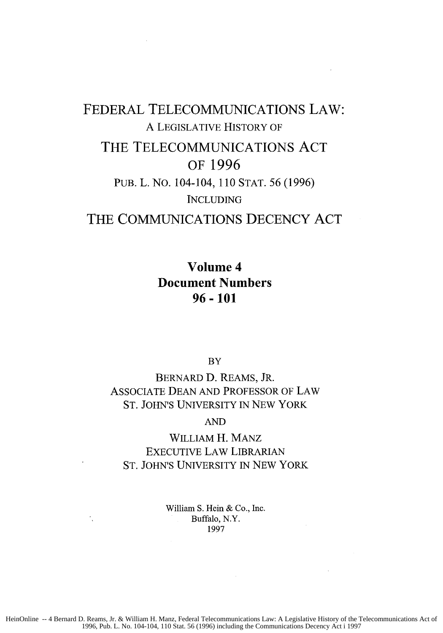## FEDERAL **TELECOMMUNICATIONS** LAW: A LEGISLATIVE HISTORY OF THE **TELECOMMUNICATIONS ACT** OF **1996** PUB. L. NO. 104-104, 110 STAT. 56 (1996) **INCLUDING** THE **COMMUNICATIONS DECENCY ACT**

**Volume 4 Document Numbers 96-101**

**BY** 

BERNARD D. REAMS, JR. ASSOCIATE DEAN AND PROFESSOR OF LAW ST. JOHN'S UNIVERSITY IN NEW YORK

AND

WILLIAM H. MANZ EXECUTIVE LAW LIBRARIAN ST. JOHN'S UNIVERSITY IN NEW YORK

> William **S. Hein &** Co., Inc. Buffalo, N.Y. 1997